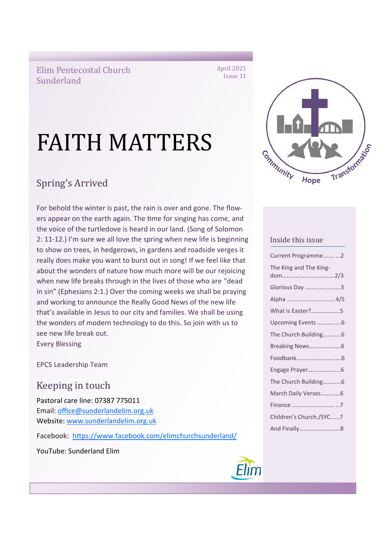Elim Pentecostal Church Sunderland

April 2021 Issue 11

# FAITH MATTERS

# Spring's Arrived

For behold the winter is past, the rain is over and gone. The flowers appear on the earth again. The time for singing has come, and the voice of the turtledove is heard in our land. (Song of Solomon 2: 11-12.) I'm sure we all love the spring when new life is beginning to show on trees, in hedgerows, in gardens and roadside verges it really does make you want to burst out in song! If we feel like that about the wonders of nature how much more will be our rejoicing when new life breaks through in the lives of those who are "dead in sin" (Ephesians 2:1.) Over the coming weeks we shall be praying and working to announce the Really Good News of the new life that's available in Jesus to our city and families. We shall be using the wonders of modern technology to do this. So join with us to see new life break out. Every Blessing

EPCS Leadership Team

Keeping in touch

Pastoral care line: 07387 775011 Email: [office@sunderlandelim.org.uk](about:blank) Website: [www.sunderlandelim.org.uk](http://www.sunderlandelim.org.uk)

Facebook: [https://www.facebook.com/elimchurchsunderland/](about:blank)

YouTube: Sunderland Elim





#### Inside this issue

| Current Programme2               |  |
|----------------------------------|--|
| The King and The King-<br>dom2/3 |  |
| Glorious Day 3                   |  |
| Alpha  4/5                       |  |
| What is Easter?5                 |  |
| Upcoming Events 6                |  |
| The Church Building6             |  |
|                                  |  |
|                                  |  |
|                                  |  |
| The Church Building6             |  |
| March Daily Verses6              |  |
|                                  |  |
| Children's Church./SYC7          |  |
| And Finally8                     |  |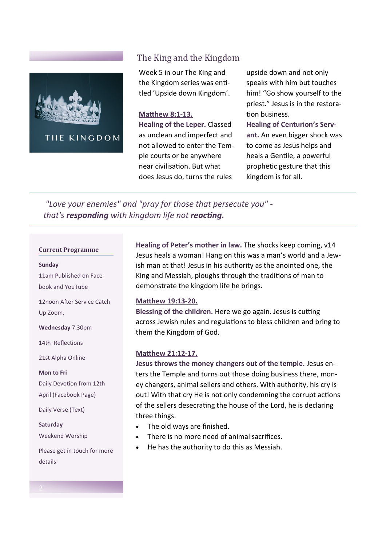

THE KINGDOM

# The King and the Kingdom

Week 5 in our The King and the Kingdom series was entitled 'Upside down Kingdom'.

#### **Matthew 8:1-13.**

**Healing of the Leper.** Classed as unclean and imperfect and not allowed to enter the Temple courts or be anywhere near civilisation. But what does Jesus do, turns the rules

upside down and not only speaks with him but touches him! "Go show yourself to the priest." Jesus is in the restoration business.

**Healing of Centurion's Servant.** An even bigger shock was to come as Jesus helps and heals a Gentile, a powerful prophetic gesture that this kingdom is for all.

*"Love your enemies" and "pray for those that persecute you" that's responding with kingdom life not reacting.*

#### **Current Programme**

#### **Sunday**

11am Published on Facebook and YouTube

12noon After Service Catch Up Zoom.

**Wednesday** 7.30pm

14th Reflections

21st Alpha Online

#### **Mon to Fri**

Daily Devotion from 12th April (Facebook Page)

Daily Verse (Text)

**Saturday** 

Weekend Worship

Please get in touch for more details

**Healing of Peter's mother in law.** The shocks keep coming, v14 Jesus heals a woman! Hang on this was a man's world and a Jewish man at that! Jesus in his authority as the anointed one, the King and Messiah, ploughs through the traditions of man to demonstrate the kingdom life he brings.

#### **Matthew 19:13-20.**

**Blessing of the children.** Here we go again. Jesus is cutting across Jewish rules and regulations to bless children and bring to them the Kingdom of God.

#### **Matthew 21:12-17.**

**Jesus throws the money changers out of the temple.** Jesus enters the Temple and turns out those doing business there, money changers, animal sellers and others. With authority, his cry is out! With that cry He is not only condemning the corrupt actions of the sellers desecrating the house of the Lord, he is declaring three things.

- The old ways are finished.
- There is no more need of animal sacrifices.
- He has the authority to do this as Messiah.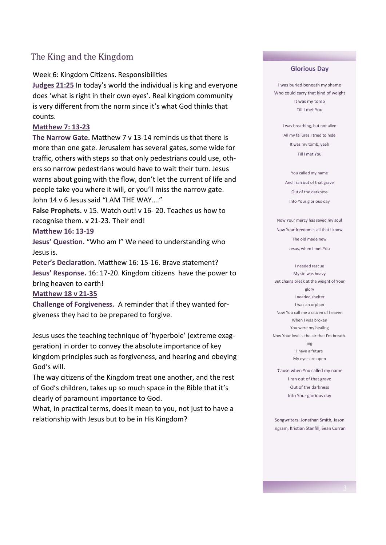# The King and the Kingdom

Week 6: Kingdom Citizens. Responsibilities

**Judges 21:25** In today's world the individual is king and everyone does 'what is right in their own eyes'. Real kingdom community is very different from the norm since it's what God thinks that counts.

#### **Matthew 7: 13-23**

**The Narrow Gate.** Matthew 7 v 13-14 reminds us that there is more than one gate. Jerusalem has several gates, some wide for traffic, others with steps so that only pedestrians could use, others so narrow pedestrians would have to wait their turn. Jesus warns about going with the flow, don't let the current of life and people take you where it will, or you'll miss the narrow gate. John 14 v 6 Jesus said "I AM THE WAY…."

False Prophets. v 15. Watch out! v 16- 20. Teaches us how to recognise them. v 21-23. Their end!

#### **Matthew 16: 13-19**

**Jesus' Question.** "Who am I" We need to understanding who Jesus is.

**Peter's Declaration.** Matthew 16: 15-16. Brave statement? **Jesus' Response.** 16: 17-20. Kingdom citizens have the power to bring heaven to earth!

#### **Matthew 18 v 21-35**

**Challenge of Forgiveness.** A reminder that if they wanted forgiveness they had to be prepared to forgive.

Jesus uses the teaching technique of 'hyperbole' (extreme exaggeration) in order to convey the absolute importance of key kingdom principles such as forgiveness, and hearing and obeying God's will.

The way citizens of the Kingdom treat one another, and the rest of God's children, takes up so much space in the Bible that it's clearly of paramount importance to God.

What, in practical terms, does it mean to you, not just to have a relationship with Jesus but to be in His Kingdom?

#### **Glorious Day**

I was buried beneath my shame Who could carry that kind of weight It was my tomb Till I met You

> I was breathing, but not alive All my failures I tried to hide It was my tomb, yeah Till I met You

You called my name And I ran out of that grave Out of the darkness Into Your glorious day

Now Your mercy has saved my soul Now Your freedom is all that I know The old made new Jesus, when I met You

I needed rescue My sin was heavy But chains break at the weight of Your glory I needed shelter I was an orphan Now You call me a citizen of heaven When I was broken You were my healing Now Your love is the air that I'm breathing I have a future My eyes are open

'Cause when You called my name I ran out of that grave Out of the darkness Into Your glorious day

Songwriters: Jonathan Smith, Jason Ingram, Kristian Stanfill, Sean Curran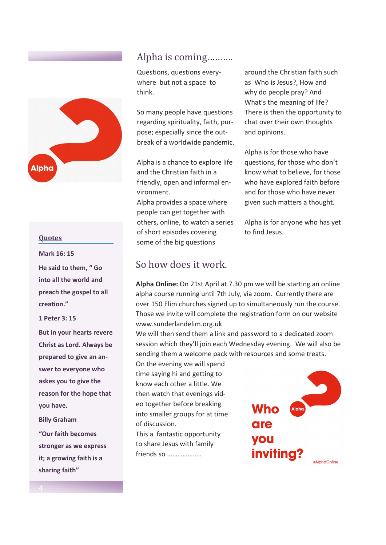# **Alpha**

#### **Quotes**

#### **Mark 16: 15**

**He said to them, " Go into all the world and preach the gospel to all creation."**

#### **1 Peter 3: 15**

**But in your hearts revere Christ as Lord. Always be prepared to give an answer to everyone who askes you to give the reason for the hope that you have.**

#### **Billy Graham**

**"Our faith becomes stronger as we express it; a growing faith is a sharing faith"**

# Alpha is coming……….

Questions, questions everywhere but not a space to think.

So many people have questions regarding spirituality, faith, purpose; especially since the outbreak of a worldwide pandemic.

Alpha is a chance to explore life and the Christian faith in a friendly, open and informal environment.

Alpha provides a space where people can get together with others, online, to watch a series of short episodes covering some of the big questions

# So how does it work.

around the Christian faith such as Who is Jesus?, How and why do people pray? And What's the meaning of life? There is then the opportunity to chat over their own thoughts and opinions.

Alpha is for those who have questions, for those who don't know what to believe, for those who have explored faith before and for those who have never given such matters a thought.

Alpha is for anyone who has yet to find Jesus.

**Alpha Online:** On 21st April at 7.30 pm we will be starting an online alpha course running until 7th July, via zoom. Currently there are over 150 Elim churches signed up to simultaneously run the course. Those we invite will complete the registration form on our website www.sunderlandelim.org.uk

We will then send them a link and password to a dedicated zoom session which they'll join each Wednesday evening. We will also be sending them a welcome pack with resources and some treats.

On the evening we will spend time saying hi and getting to know each other a little. We then watch that evenings video together before breaking into smaller groups for at time of discussion. This a fantastic opportunity to share Jesus with family

friends so ………………..

**Who** are **VOU** inviting?

#AlphaOnline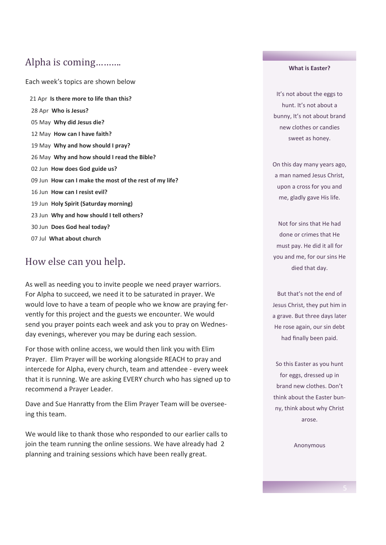# Alpha is coming……….

Each week's topics are shown below

 21 Apr **Is there more to life than this?** 28 Apr **Who is Jesus?** 05 May **Why did Jesus die?** 12 May **How can I have faith?** 19 May **Why and how should I pray?** 26 May **Why and how should I read the Bible?** 02 Jun **How does God guide us?** 09 Jun **How can I make the most of the rest of my life?** 16 Jun **How can I resist evil?** 19 Jun **Holy Spirit (Saturday morning)** 23 Jun **Why and how should I tell others?** 30 Jun **Does God heal today?** 07 Jul **What about church**

# How else can you help.

As well as needing you to invite people we need prayer warriors. For Alpha to succeed, we need it to be saturated in prayer. We would love to have a team of people who we know are praying fervently for this project and the guests we encounter. We would send you prayer points each week and ask you to pray on Wednesday evenings, wherever you may be during each session.

For those with online access, we would then link you with Elim Prayer. Elim Prayer will be working alongside REACH to pray and intercede for Alpha, every church, team and attendee - every week that it is running. We are asking EVERY church who has signed up to recommend a Prayer Leader.

Dave and Sue Hanratty from the Elim Prayer Team will be overseeing this team.

We would like to thank those who responded to our earlier calls to join the team running the online sessions. We have already had 2 planning and training sessions which have been really great.

#### **What is Easter?**

It's not about the eggs to hunt. It's not about a bunny, It's not about brand new clothes or candies sweet as honey.

On this day many years ago, a man named Jesus Christ, upon a cross for you and me, gladly gave His life.

Not for sins that He had done or crimes that He must pay. He did it all for you and me, for our sins He died that day.

But that's not the end of Jesus Christ, they put him in a grave. But three days later He rose again, our sin debt had finally been paid.

So this Easter as you hunt for eggs, dressed up in brand new clothes. Don't think about the Easter bunny, think about why Christ arose.

Anonymous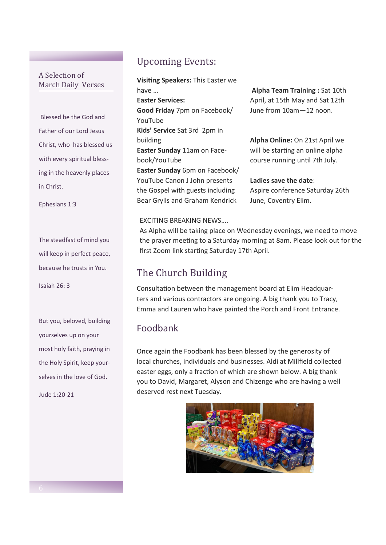#### A Selection of March Daily Verses

Blessed be the God and Father of our Lord Jesus Christ, who has blessed us with every spiritual blessing in the heavenly places in Christ.

Ephesians 1:3

The steadfast of mind you will keep in perfect peace, because he trusts in You.

Isaiah 26: 3

But you, beloved, building yourselves up on your most holy faith, praying in the Holy Spirit, keep yourselves in the love of God.

Jude 1:20-21

# Upcoming Events:

**Visiting Speakers:** This Easter we have … **Easter Services: Good Friday** 7pm on Facebook/ YouTube **Kids' Service** Sat 3rd 2pm in building **Easter Sunday** 11am on Facebook/YouTube **Easter Sunday** 6pm on Facebook/ YouTube Canon J John presents the Gospel with guests including Bear Grylls and Graham Kendrick

April, at 15th May and Sat 12th June from 10am—12 noon.

**Alpha Team Training :** Sat 10th

**Alpha Online:** On 21st April we will be starting an online alpha course running until 7th July.

#### **Ladies save the date**:

Aspire conference Saturday 26th June, Coventry Elim.

#### EXCITING BREAKING NEWS….

As Alpha will be taking place on Wednesday evenings, we need to move the prayer meeting to a Saturday morning at 8am. Please look out for the first Zoom link starting Saturday 17th April.

# The Church Building

Consultation between the management board at Elim Headquarters and various contractors are ongoing. A big thank you to Tracy, Emma and Lauren who have painted the Porch and Front Entrance.

### Foodbank

Once again the Foodbank has been blessed by the generosity of local churches, individuals and businesses. Aldi at Millfield collected easter eggs, only a fraction of which are shown below. A big thank you to David, Margaret, Alyson and Chizenge who are having a well deserved rest next Tuesday.

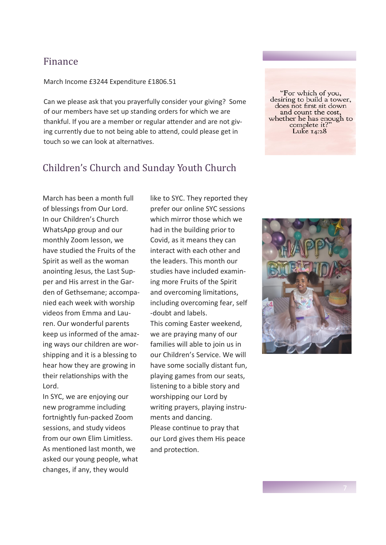# Finance

March Income £3244 Expenditure £1806.51

Can we please ask that you prayerfully consider your giving? Some of our members have set up standing orders for which we are thankful. If you are a member or regular attender and are not giving currently due to not being able to attend, could please get in touch so we can look at alternatives.

# Children's Church and Sunday Youth Church

March has been a month full of blessings from Our Lord. In our Children's Church WhatsApp group and our monthly Zoom lesson, we have studied the Fruits of the Spirit as well as the woman anointing Jesus, the Last Supper and His arrest in the Garden of Gethsemane; accompanied each week with worship videos from Emma and Lauren. Our wonderful parents keep us informed of the amazing ways our children are worshipping and it is a blessing to hear how they are growing in their relationships with the Lord.

In SYC, we are enjoying our new programme including fortnightly fun-packed Zoom sessions, and study videos from our own Elim Limitless. As mentioned last month, we asked our young people, what changes, if any, they would

like to SYC. They reported they prefer our online SYC sessions which mirror those which we had in the building prior to Covid, as it means they can interact with each other and the leaders. This month our studies have included examining more Fruits of the Spirit and overcoming limitations, including overcoming fear, self -doubt and labels.

This coming Easter weekend, we are praying many of our families will able to join us in our Children's Service. We will have some socially distant fun, playing games from our seats, listening to a bible story and worshipping our Lord by writing prayers, playing instruments and dancing. Please continue to pray that our Lord gives them His peace and protection.



"For which of you, desiring to build a tower, does not first sit down and count the cost. whether he has enough to complete it? Luke 14:28